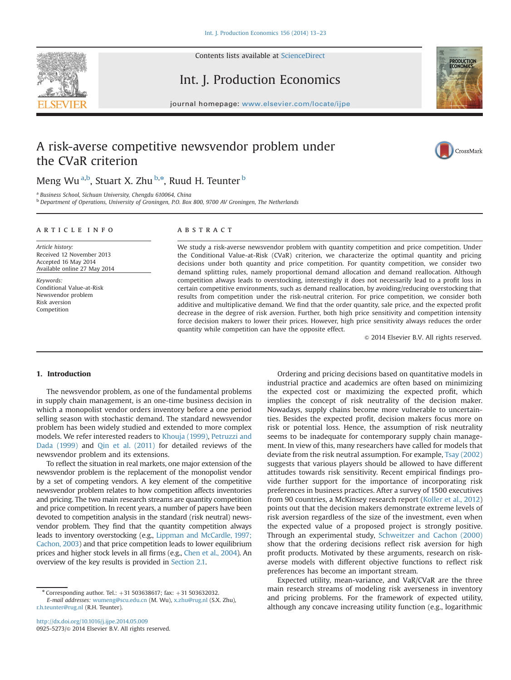

Contents lists available at [ScienceDirect](www.sciencedirect.com/science/journal/09255273)

# Int. J. Production Economics

journal homepage: <www.elsevier.com/locate/ijpe>



## A risk-averse competitive newsvendor problem under the CVaR criterion



### Meng Wu<sup>a,b</sup>, Stuart X. Zhu<sup>b,\*</sup>, Ruud H. Teunter <sup>b</sup>

<sup>a</sup> Business School, Sichuan University, Chengdu 610064, China

<sup>b</sup> Department of Operations, University of Groningen, P.O. Box 800, 9700 AV Groningen, The Netherlands

#### article info

Article history: Received 12 November 2013 Accepted 16 May 2014 Available online 27 May 2014

Keywords: Conditional Value-at-Risk Newsvendor problem Risk aversion Competition

#### **ABSTRACT**

We study a risk-averse newsvendor problem with quantity competition and price competition. Under the Conditional Value-at-Risk (CVaR) criterion, we characterize the optimal quantity and pricing decisions under both quantity and price competition. For quantity competition, we consider two demand splitting rules, namely proportional demand allocation and demand reallocation. Although competition always leads to overstocking, interestingly it does not necessarily lead to a profit loss in certain competitive environments, such as demand reallocation, by avoiding/reducing overstocking that results from competition under the risk-neutral criterion. For price competition, we consider both additive and multiplicative demand. We find that the order quantity, sale price, and the expected profit decrease in the degree of risk aversion. Further, both high price sensitivity and competition intensity force decision makers to lower their prices. However, high price sensitivity always reduces the order quantity while competition can have the opposite effect.

 $©$  2014 Elsevier B.V. All rights reserved.

#### 1. Introduction

The newsvendor problem, as one of the fundamental problems in supply chain management, is an one-time business decision in which a monopolist vendor orders inventory before a one period selling season with stochastic demand. The standard newsvendor problem has been widely studied and extended to more complex models. We refer interested readers to Khouja (1999), Petruzzi and Dada (1999) and Qin et al. (2011) for detailed reviews of the newsvendor problem and its extensions.

To reflect the situation in real markets, one major extension of the newsvendor problem is the replacement of the monopolist vendor by a set of competing vendors. A key element of the competitive newsvendor problem relates to how competition affects inventories and pricing. The two main research streams are quantity competition and price competition. In recent years, a number of papers have been devoted to competition analysis in the standard (risk neutral) newsvendor problem. They find that the quantity competition always leads to inventory overstocking (e.g., Lippman and McCardle, 1997; Cachon, 2003) and that price competition leads to lower equilibrium prices and higher stock levels in all firms (e.g., Chen et al., 2004). An overview of the key results is provided in Section 2.1.

Ordering and pricing decisions based on quantitative models in industrial practice and academics are often based on minimizing the expected cost or maximizing the expected profit, which implies the concept of risk neutrality of the decision maker. Nowadays, supply chains become more vulnerable to uncertainties. Besides the expected profit, decision makers focus more on risk or potential loss. Hence, the assumption of risk neutrality seems to be inadequate for contemporary supply chain management. In view of this, many researchers have called for models that deviate from the risk neutral assumption. For example, Tsay (2002) suggests that various players should be allowed to have different attitudes towards risk sensitivity. Recent empirical findings provide further support for the importance of incorporating risk preferences in business practices. After a survey of 1500 executives from 90 countries, a McKinsey research report (Koller et al., 2012) points out that the decision makers demonstrate extreme levels of risk aversion regardless of the size of the investment, even when the expected value of a proposed project is strongly positive. Through an experimental study, Schweitzer and Cachon (2000) show that the ordering decisions reflect risk aversion for high profit products. Motivated by these arguments, research on riskaverse models with different objective functions to reflect risk preferences has become an important stream.

Expected utility, mean-variance, and VaR/CVaR are the three main research streams of modeling risk averseness in inventory and pricing problems. For the framework of expected utility, although any concave increasing utility function (e.g., logarithmic

<sup>\*</sup> Corresponding author. Tel.:  $+31$  503638617; fax:  $+31$  503632032. E-mail addresses: [wumeng@scu.edu.cn](mailto:wumeng@scu.edu.cn) (M. Wu), [x.zhu@rug.nl](mailto:x.zhu@rug.nl) (S.X. Zhu), [r.h.teunter@rug.nl](mailto:r.h.teunter@rug.nl) (R.H. Teunter).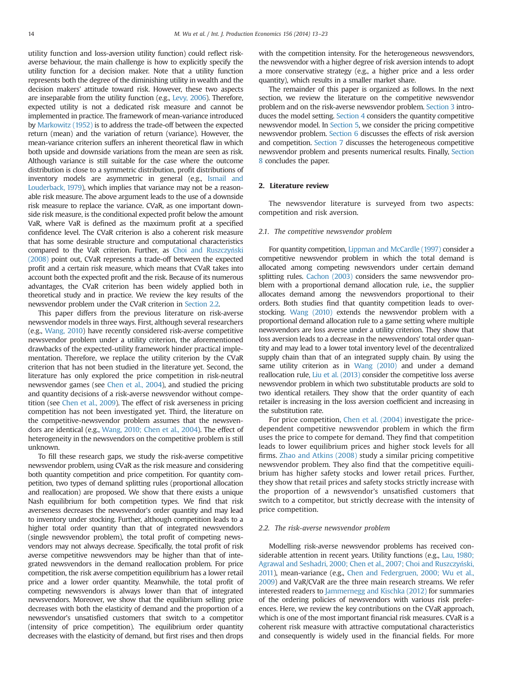utility function and loss-aversion utility function) could reflect riskaverse behaviour, the main challenge is how to explicitly specify the utility function for a decision maker. Note that a utility function represents both the degree of the diminishing utility in wealth and the decision makers' attitude toward risk. However, these two aspects are inseparable from the utility function (e.g., Levy, 2006). Therefore, expected utility is not a dedicated risk measure and cannot be implemented in practice. The framework of mean-variance introduced by Markowitz (1952) is to address the trade-off between the expected return (mean) and the variation of return (variance). However, the mean-variance criterion suffers an inherent theoretical flaw in which both upside and downside variations from the mean are seen as risk. Although variance is still suitable for the case where the outcome distribution is close to a symmetric distribution, profit distributions of inventory models are asymmetric in general (e.g., Ismail and Louderback, 1979), which implies that variance may not be a reasonable risk measure. The above argument leads to the use of a downside risk measure to replace the variance. CVaR, as one important downside risk measure, is the conditional expected profit below the amount VaR, where VaR is defined as the maximum profit at a specified confidence level. The CVaR criterion is also a coherent risk measure that has some desirable structure and computational characteristics compared to the VaR criterion. Further, as Choi and Ruszczyński (2008) point out, CVaR represents a trade-off between the expected profit and a certain risk measure, which means that CVaR takes into account both the expected profit and the risk. Because of its numerous advantages, the CVaR criterion has been widely applied both in theoretical study and in practice. We review the key results of the newsvendor problem under the CVaR criterion in Section 2.2.

This paper differs from the previous literature on risk-averse newsvendor models in three ways. First, although several researchers (e.g., Wang, 2010) have recently considered risk-averse competitive newsvendor problem under a utility criterion, the aforementioned drawbacks of the expected-utility framework hinder practical implementation. Therefore, we replace the utility criterion by the CVaR criterion that has not been studied in the literature yet. Second, the literature has only explored the price competition in risk-neutral newsvendor games (see Chen et al., 2004), and studied the pricing and quantity decisions of a risk-averse newsvendor without competition (see Chen et al., 2009). The effect of risk averseness in pricing competition has not been investigated yet. Third, the literature on the competitive-newsvendor problem assumes that the newsvendors are identical (e.g., Wang, 2010; Chen et al., 2004). The effect of heterogeneity in the newsvendors on the competitive problem is still unknown.

To fill these research gaps, we study the risk-averse competitive newsvendor problem, using CVaR as the risk measure and considering both quantity competition and price competition. For quantity competition, two types of demand splitting rules (proportional allocation and reallocation) are proposed. We show that there exists a unique Nash equilibrium for both competition types. We find that risk averseness decreases the newsvendor's order quantity and may lead to inventory under stocking. Further, although competition leads to a higher total order quantity than that of integrated newsvendors (single newsvendor problem), the total profit of competing newsvendors may not always decrease. Specifically, the total profit of risk averse competitive newsvendors may be higher than that of integrated newsvendors in the demand reallocation problem. For price competition, the risk averse competition equilibrium has a lower retail price and a lower order quantity. Meanwhile, the total profit of competing newsvendors is always lower than that of integrated newsvendors. Moreover, we show that the equilibrium selling price decreases with both the elasticity of demand and the proportion of a newsvendor's unsatisfied customers that switch to a competitor (intensity of price competition). The equilibrium order quantity decreases with the elasticity of demand, but first rises and then drops with the competition intensity. For the heterogeneous newsvendors, the newsvendor with a higher degree of risk aversion intends to adopt a more conservative strategy (e.g., a higher price and a less order quantity), which results in a smaller market share.

The remainder of this paper is organized as follows. In the next section, we review the literature on the competitive newsvendor problem and on the risk-averse newsvendor problem. Section 3 introduces the model setting. Section 4 considers the quantity competitive newsvendor model. In Section 5, we consider the pricing competitive newsvendor problem. Section 6 discusses the effects of risk aversion and competition. Section 7 discusses the heterogeneous competitive newsvendor problem and presents numerical results. Finally, Section 8 concludes the paper.

#### 2. Literature review

The newsvendor literature is surveyed from two aspects: competition and risk aversion.

#### 2.1. The competitive newsvendor problem

For quantity competition, Lippman and McCardle (1997) consider a competitive newsvendor problem in which the total demand is allocated among competing newsvendors under certain demand splitting rules. Cachon (2003) considers the same newsvendor problem with a proportional demand allocation rule, i.e., the supplier allocates demand among the newsvendors proportional to their orders. Both studies find that quantity competition leads to overstocking. Wang (2010) extends the newsvendor problem with a proportional demand allocation rule to a game setting where multiple newsvendors are loss averse under a utility criterion. They show that loss aversion leads to a decrease in the newsvendors' total order quantity and may lead to a lower total inventory level of the decentralized supply chain than that of an integrated supply chain. By using the same utility criterion as in Wang (2010) and under a demand reallocation rule, Liu et al. (2013) consider the competitive loss averse newsvendor problem in which two substitutable products are sold to two identical retailers. They show that the order quantity of each retailer is increasing in the loss aversion coefficient and increasing in the substitution rate.

For price competition, Chen et al. (2004) investigate the pricedependent competitive newsvendor problem in which the firm uses the price to compete for demand. They find that competition leads to lower equilibrium prices and higher stock levels for all firms. Zhao and Atkins (2008) study a similar pricing competitive newsvendor problem. They also find that the competitive equilibrium has higher safety stocks and lower retail prices. Further, they show that retail prices and safety stocks strictly increase with the proportion of a newsvendor's unsatisfied customers that switch to a competitor, but strictly decrease with the intensity of price competition.

#### 2.2. The risk-averse newsvendor problem

Modelling risk-averse newsvendor problems has received considerable attention in recent years. Utility functions (e.g., Lau, 1980; Agrawal and Seshadri, 2000; Chen et al., 2007; Choi and Ruszczyński, 2011), mean-variance (e.g., Chen and Federgruen, 2000; Wu et al., 2009) and VaR/CVaR are the three main research streams. We refer interested readers to Jammernegg and Kischka (2012) for summaries of the ordering policies of newsvendors with various risk preferences. Here, we review the key contributions on the CVaR approach, which is one of the most important financial risk measures. CVaR is a coherent risk measure with attractive computational characteristics and consequently is widely used in the financial fields. For more